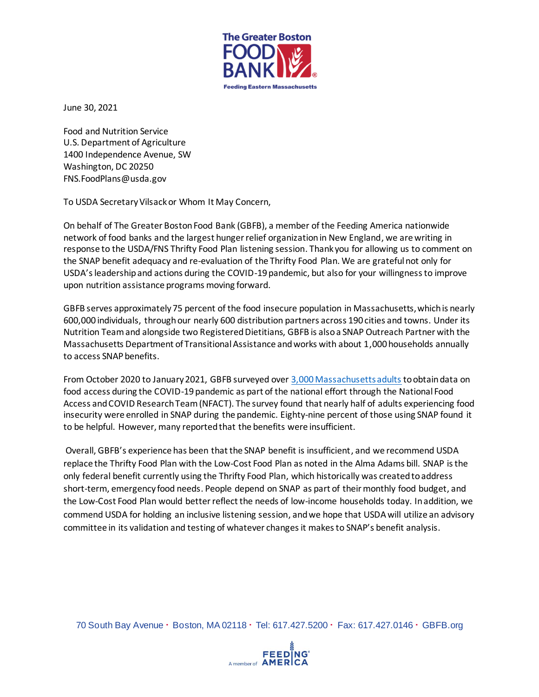

June 30, 2021

Food and Nutrition Service U.S. Department of Agriculture 1400 Independence Avenue, SW Washington, DC 20250 FNS.FoodPlans@usda.gov

To USDA Secretary Vilsack or Whom It May Concern,

On behalf of The Greater Boston Food Bank (GBFB), a member of the Feeding America nationwide network of food banks and the largest hunger relief organization in New England, we are writing in response to the USDA/FNS Thrifty Food Plan listening session. Thank you for allowing us to comment on the SNAP benefit adequacy and re-evaluation of the Thrifty Food Plan. We are grateful not only for USDA's leadership and actions during the COVID-19 pandemic, but also for your willingness to improve upon nutrition assistance programs moving forward.

GBFB serves approximately 75 percent of the food insecure population in Massachusetts, which is nearly 600,000 individuals, through our nearly 600 distribution partners across 190 cities and towns. Under its Nutrition Team and alongside two Registered Dietitians, GBFB is also a SNAP Outreach Partner with the Massachusetts Department of Transitional Assistance and works with about 1,000 households annually to access SNAP benefits.

From October 2020 to January 2021, [GBFB surveyed over 3,000 Massachusetts adults](https://www.gbfb.org/wp-content/uploads/2021/04/GBFB_Gaps_in_Food_Access_Report_Final_May_2021.pdf) to obtain data on food access during the COVID-19 pandemic as part of the national effort through the National Food Access and COVID Research Team (NFACT). The survey found that nearly half of adults experiencing food insecurity were enrolled in SNAP during the pandemic. Eighty-nine percent of those using SNAP found it to be helpful. However, many reported that the benefits were insufficient.

Overall, GBFB's experience has been that the SNAP benefit is insufficient, and we recommend USDA replace the Thrifty Food Plan with the Low-Cost Food Plan as noted in the Alma Adams bill. SNAP is the only federal benefit currently using the Thrifty Food Plan, which historically was created to address short-term, emergency food needs. People depend on SNAP as part of their monthly food budget, and the Low-Cost Food Plan would better reflect the needs of low-income households today. In addition, we commend USDA for holding an inclusive listening session, and we hope that USDA will utilize an advisory committee in its validation and testing of whatever changes it makes to SNAP's benefit analysis.

70 South Bay Avenue · Boston, MA 02118 · Tel: 617.427.5200 · Fax: 617.427.0146 · [GBFB.org](http://www.gbfb.org/)

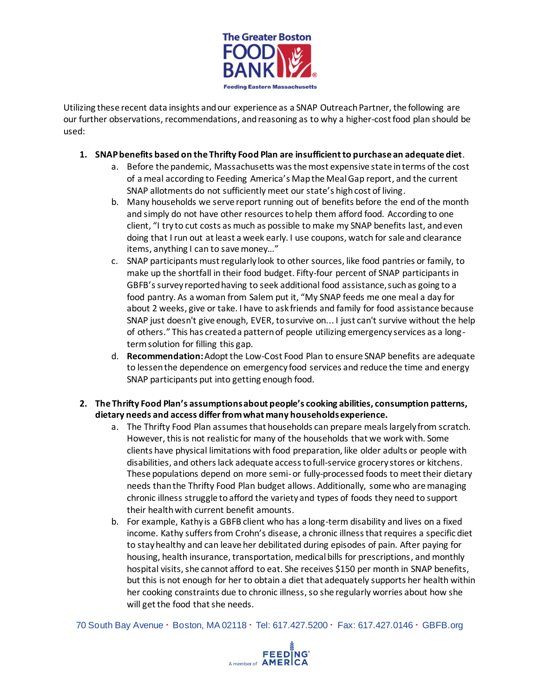

Utilizing these recent data insights and our experience as a SNAP Outreach Partner, the following are our further observations, recommendations, andreasoning as to why a higher-cost food plan should be used:

## **1. SNAP benefits based on the Thrifty Food Plan are insufficient to purchase an adequate diet**.

- a. Before the pandemic, Massachusetts was the most expensive state in terms of the cost of a meal according to Feeding America's Map the Meal Gap report, and the current SNAP allotments do not sufficiently meet our state's high cost of living.
- b. Many households we serve report running out of benefits before the end of the month and simply do not have other resources to help them afford food. According to one client, "I try to cut costs as much as possible to make my SNAP benefits last, and even doing that I run out at least a week early. I use coupons, watch for sale and clearance items, anything I can to save money…"
- c. SNAP participants must regularly look to other sources, like food pantries or family, to make up the shortfall in their food budget. Fifty-four percent of SNAP participants in GBFB's survey reported having to seek additional food assistance, such as going to a food pantry. As a woman from Salem put it, "My SNAP feeds me one meal a day for about 2 weeks, give or take. I have to ask friends and family for food assistance because SNAP just doesn't give enough, EVER, to survive on... I just can't survive without the help of others." This has created a pattern of people utilizing emergency services as a longterm solution for filling this gap.
- d. **Recommendation:**Adopt the Low-Cost Food Plan to ensure SNAP benefits are adequate to lessen the dependence on emergency food services and reduce the time and energy SNAP participants put into getting enough food.

## **2. The Thrifty Food Plan's assumptions about people's cooking abilities, consumption patterns, dietary needs and access differ from what many households experience.**

- a. The Thrifty Food Plan assumes that households can prepare meals largely from scratch. However, this is not realistic for many of the households that we work with. Some clients have physical limitations with food preparation, like older adults or people with disabilities, and others lack adequate access to full-service grocery stores or kitchens. These populations depend on more semi-or fully-processed foods to meet their dietary needs than the Thrifty Food Plan budget allows. Additionally, some who are managing chronic illness struggle to afford the variety and types of foods they need to support their health with current benefit amounts.
- b. For example, Kathy is a GBFB client who has a long-term disability and lives on a fixed income. Kathy suffers from Crohn's disease, a chronic illness that requires a specific diet to stay healthy and can leave her debilitated during episodes of pain. After paying for housing, health insurance, transportation, medical bills for prescriptions, and monthly hospital visits, she cannot afford to eat. She receives \$150 per month in SNAP benefits, but this is not enough for her to obtain a diet that adequately supports her health within her cooking constraints due to chronic illness, so she regularly worries about how she will get the food that she needs.

70 South Bay Avenue · Boston, MA 02118 · Tel: 617.427.5200 · Fax: 617.427.0146 · [GBFB.org](http://www.gbfb.org/)

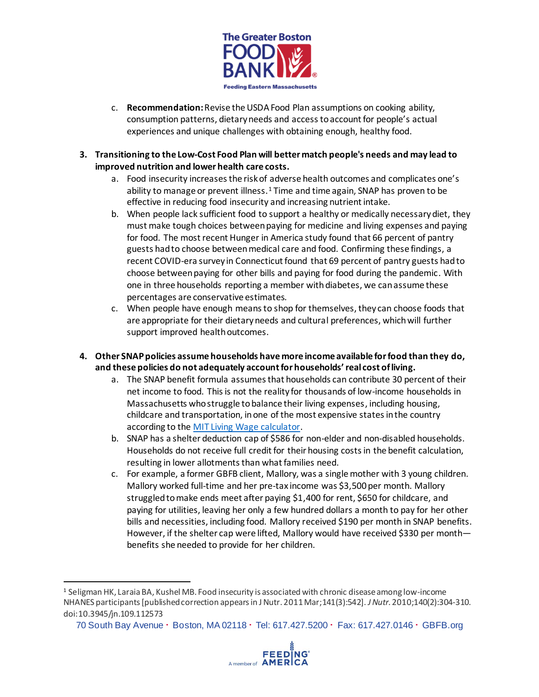

- c. **Recommendation:**Revise the USDAFood Plan assumptions on cooking ability, consumption patterns, dietary needs and accesstoaccount for people's actual experiences and unique challenges with obtaining enough, healthy food.
- **3. Transitioning to the Low-Cost Food Plan will better match people's needs and may lead to improved nutrition and lower health care costs.**
	- a. Food insecurity increases the risk of adverse health outcomes and complicates one's ability to manage or prevent illness.<sup>1</sup> Time and time again, SNAP has proven to be effective in reducing food insecurity and increasing nutrient intake.
	- b. When people lack sufficient food to support a healthy or medically necessary diet, they must make tough choices between paying for medicine and living expenses and paying for food. The most recent Hunger in America study found that 66 percent of pantry guests had to choose between medical care and food. Confirming these findings, a recent COVID-era survey in Connecticut found that 69 percent of pantry guests had to choose between paying for other bills and paying for food during the pandemic. With one in three households reporting a member with diabetes, we can assume these percentages are conservative estimates.
	- c. When people have enough means to shop for themselves, they can choose foods that are appropriate for their dietary needs and cultural preferences, which will further support improved healthoutcomes.
- **4. Other SNAP policies assume households have more income available for food than they do, and these policies do not adequately account for households' real cost of living.**
	- a. The SNAP benefit formula assumes that households can contribute 30 percent of their net income to food. This is not the reality for thousands of low-income households in Massachusetts who struggle to balance their living expenses, including housing, childcare and transportation, in one of the most expensive states in the country according to the [MIT Living Wage calculator.](https://livingwage.mit.edu/)
	- b. SNAP has a shelter deduction cap of \$586 for non-elder and non-disabled households. Households do not receive full credit for their housing costs in the benefit calculation, resulting in lower allotments than what families need.
	- c. For example, a former GBFB client, Mallory, was a single mother with 3 young children. Mallory worked full-time and her pre-tax income was \$3,500 per month. Mallory struggled to make ends meet after paying \$1,400 for rent, \$650 for childcare, and paying for utilities, leaving her only a few hundred dollars a month to pay for her other bills and necessities, including food. Mallory received \$190 per month in SNAP benefits. However, if the shelter cap were lifted, Mallory would have received \$330 per month benefits she needed to provide for her children.



<sup>1</sup> Seligman HK, Laraia BA, Kushel MB. Food insecurity is associated with chronic disease among low-income NHANES participants [published correction appears in J Nutr. 2011 Mar;141(3):542]. *J Nutr*. 2010;140(2):304-310. doi:10.3945/jn.109.112573